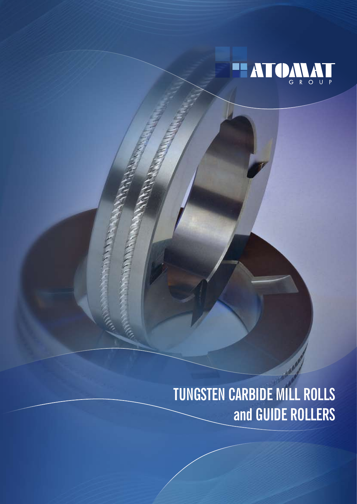

# **Tungsten Carbide Mill Rolls and Guide Rollers**